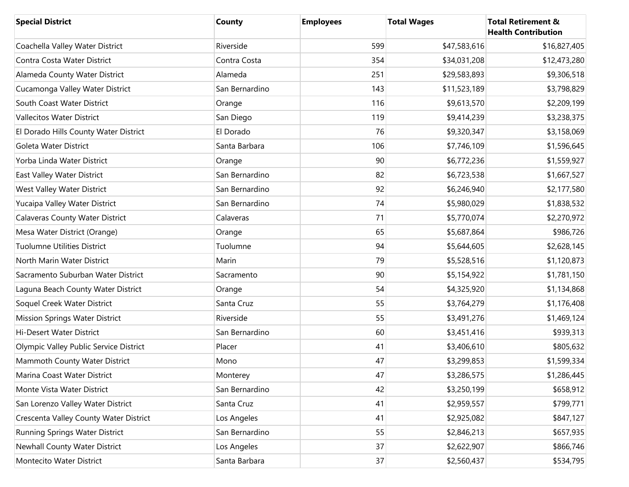| <b>Special District</b>                | County         | <b>Employees</b> | <b>Total Wages</b> | <b>Total Retirement &amp;</b><br><b>Health Contribution</b> |
|----------------------------------------|----------------|------------------|--------------------|-------------------------------------------------------------|
| Coachella Valley Water District        | Riverside      | 599              | \$47,583,616       | \$16,827,405                                                |
| Contra Costa Water District            | Contra Costa   | 354              | \$34,031,208       | \$12,473,280                                                |
| Alameda County Water District          | Alameda        | 251              | \$29,583,893       | \$9,306,518                                                 |
| Cucamonga Valley Water District        | San Bernardino | 143              | \$11,523,189       | \$3,798,829                                                 |
| South Coast Water District             | Orange         | 116              | \$9,613,570        | \$2,209,199                                                 |
| <b>Vallecitos Water District</b>       | San Diego      | 119              | \$9,414,239        | \$3,238,375                                                 |
| El Dorado Hills County Water District  | El Dorado      | 76               | \$9,320,347        | \$3,158,069                                                 |
| Goleta Water District                  | Santa Barbara  | 106              | \$7,746,109        | \$1,596,645                                                 |
| Yorba Linda Water District             | Orange         | 90               | \$6,772,236        | \$1,559,927                                                 |
| East Valley Water District             | San Bernardino | 82               | \$6,723,538        | \$1,667,527                                                 |
| West Valley Water District             | San Bernardino | 92               | \$6,246,940        | \$2,177,580                                                 |
| Yucaipa Valley Water District          | San Bernardino | 74               | \$5,980,029        | \$1,838,532                                                 |
| Calaveras County Water District        | Calaveras      | 71               | \$5,770,074        | \$2,270,972                                                 |
| Mesa Water District (Orange)           | Orange         | 65               | \$5,687,864        | \$986,726                                                   |
| <b>Tuolumne Utilities District</b>     | Tuolumne       | 94               | \$5,644,605        | \$2,628,145                                                 |
| North Marin Water District             | Marin          | 79               | \$5,528,516        | \$1,120,873                                                 |
| Sacramento Suburban Water District     | Sacramento     | 90               | \$5,154,922        | \$1,781,150                                                 |
| Laguna Beach County Water District     | Orange         | 54               | \$4,325,920        | \$1,134,868                                                 |
| Soquel Creek Water District            | Santa Cruz     | 55               | \$3,764,279        | \$1,176,408                                                 |
| <b>Mission Springs Water District</b>  | Riverside      | 55               | \$3,491,276        | \$1,469,124                                                 |
| Hi-Desert Water District               | San Bernardino | 60               | \$3,451,416        | \$939,313                                                   |
| Olympic Valley Public Service District | Placer         | 41               | \$3,406,610        | \$805,632                                                   |
| Mammoth County Water District          | Mono           | 47               | \$3,299,853        | \$1,599,334                                                 |
| Marina Coast Water District            | Monterey       | 47               | \$3,286,575        | \$1,286,445                                                 |
| Monte Vista Water District             | San Bernardino | 42               | \$3,250,199        | \$658,912                                                   |
| San Lorenzo Valley Water District      | Santa Cruz     | 41               | \$2,959,557        | \$799,771                                                   |
| Crescenta Valley County Water District | Los Angeles    | 41               | \$2,925,082        | \$847,127                                                   |
| Running Springs Water District         | San Bernardino | 55               | \$2,846,213        | \$657,935                                                   |
| Newhall County Water District          | Los Angeles    | 37               | \$2,622,907        | \$866,746                                                   |
| Montecito Water District               | Santa Barbara  | 37               | \$2,560,437        | \$534,795                                                   |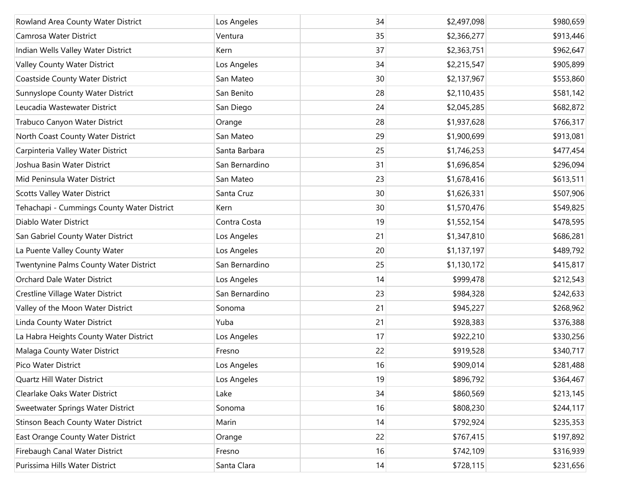| Rowland Area County Water District         | Los Angeles    | 34 | \$2,497,098 | \$980,659 |
|--------------------------------------------|----------------|----|-------------|-----------|
| Camrosa Water District                     | Ventura        | 35 | \$2,366,277 | \$913,446 |
| Indian Wells Valley Water District         | Kern           | 37 | \$2,363,751 | \$962,647 |
| Valley County Water District               | Los Angeles    | 34 | \$2,215,547 | \$905,899 |
| Coastside County Water District            | San Mateo      | 30 | \$2,137,967 | \$553,860 |
| Sunnyslope County Water District           | San Benito     | 28 | \$2,110,435 | \$581,142 |
| Leucadia Wastewater District               | San Diego      | 24 | \$2,045,285 | \$682,872 |
| Trabuco Canyon Water District              | Orange         | 28 | \$1,937,628 | \$766,317 |
| North Coast County Water District          | San Mateo      | 29 | \$1,900,699 | \$913,081 |
| Carpinteria Valley Water District          | Santa Barbara  | 25 | \$1,746,253 | \$477,454 |
| Joshua Basin Water District                | San Bernardino | 31 | \$1,696,854 | \$296,094 |
| Mid Peninsula Water District               | San Mateo      | 23 | \$1,678,416 | \$613,511 |
| <b>Scotts Valley Water District</b>        | Santa Cruz     | 30 | \$1,626,331 | \$507,906 |
| Tehachapi - Cummings County Water District | Kern           | 30 | \$1,570,476 | \$549,825 |
| Diablo Water District                      | Contra Costa   | 19 | \$1,552,154 | \$478,595 |
| San Gabriel County Water District          | Los Angeles    | 21 | \$1,347,810 | \$686,281 |
| La Puente Valley County Water              | Los Angeles    | 20 | \$1,137,197 | \$489,792 |
| Twentynine Palms County Water District     | San Bernardino | 25 | \$1,130,172 | \$415,817 |
| Orchard Dale Water District                | Los Angeles    | 14 | \$999,478   | \$212,543 |
| Crestline Village Water District           | San Bernardino | 23 | \$984,328   | \$242,633 |
| Valley of the Moon Water District          | Sonoma         | 21 | \$945,227   | \$268,962 |
| Linda County Water District                | Yuba           | 21 | \$928,383   | \$376,388 |
| La Habra Heights County Water District     | Los Angeles    | 17 | \$922,210   | \$330,256 |
| Malaga County Water District               | Fresno         | 22 | \$919,528   | \$340,717 |
| Pico Water District                        | Los Angeles    | 16 | \$909,014   | \$281,488 |
| Quartz Hill Water District                 | Los Angeles    | 19 | \$896,792   | \$364,467 |
| Clearlake Oaks Water District              | Lake           | 34 | \$860,569   | \$213,145 |
| Sweetwater Springs Water District          | Sonoma         | 16 | \$808,230   | \$244,117 |
| Stinson Beach County Water District        | Marin          | 14 | \$792,924   | \$235,353 |
| East Orange County Water District          | Orange         | 22 | \$767,415   | \$197,892 |
| Firebaugh Canal Water District             | Fresno         | 16 | \$742,109   | \$316,939 |
| Purissima Hills Water District             | Santa Clara    | 14 | \$728,115   | \$231,656 |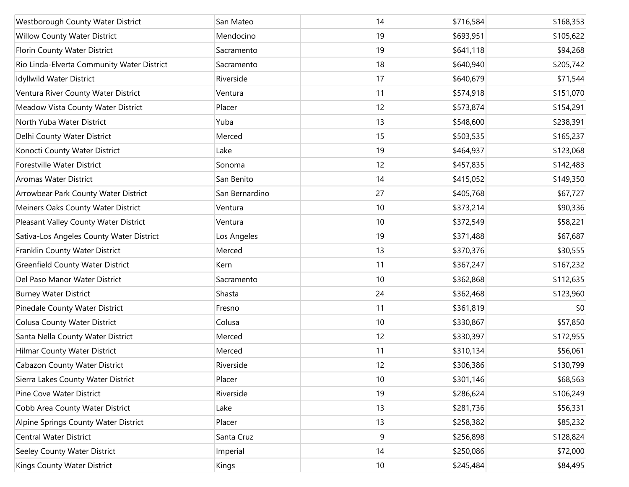| Westborough County Water District          | San Mateo      | 14 | \$716,584 | \$168,353 |
|--------------------------------------------|----------------|----|-----------|-----------|
| Willow County Water District               | Mendocino      | 19 | \$693,951 | \$105,622 |
| Florin County Water District               | Sacramento     | 19 | \$641,118 | \$94,268  |
| Rio Linda-Elverta Community Water District | Sacramento     | 18 | \$640,940 | \$205,742 |
| Idyllwild Water District                   | Riverside      | 17 | \$640,679 | \$71,544  |
| Ventura River County Water District        | Ventura        | 11 | \$574,918 | \$151,070 |
| Meadow Vista County Water District         | Placer         | 12 | \$573,874 | \$154,291 |
| North Yuba Water District                  | Yuba           | 13 | \$548,600 | \$238,391 |
| Delhi County Water District                | Merced         | 15 | \$503,535 | \$165,237 |
| Konocti County Water District              | Lake           | 19 | \$464,937 | \$123,068 |
| Forestville Water District                 | Sonoma         | 12 | \$457,835 | \$142,483 |
| Aromas Water District                      | San Benito     | 14 | \$415,052 | \$149,350 |
| Arrowbear Park County Water District       | San Bernardino | 27 | \$405,768 | \$67,727  |
| Meiners Oaks County Water District         | Ventura        | 10 | \$373,214 | \$90,336  |
| Pleasant Valley County Water District      | Ventura        | 10 | \$372,549 | \$58,221  |
| Sativa-Los Angeles County Water District   | Los Angeles    | 19 | \$371,488 | \$67,687  |
| Franklin County Water District             | Merced         | 13 | \$370,376 | \$30,555  |
| <b>Greenfield County Water District</b>    | Kern           | 11 | \$367,247 | \$167,232 |
| Del Paso Manor Water District              | Sacramento     | 10 | \$362,868 | \$112,635 |
| <b>Burney Water District</b>               | Shasta         | 24 | \$362,468 | \$123,960 |
| Pinedale County Water District             | Fresno         | 11 | \$361,819 | \$0       |
| <b>Colusa County Water District</b>        | Colusa         | 10 | \$330,867 | \$57,850  |
| Santa Nella County Water District          | Merced         | 12 | \$330,397 | \$172,955 |
| Hilmar County Water District               | Merced         | 11 | \$310,134 | \$56,061  |
| Cabazon County Water District              | Riverside      | 12 | \$306,386 | \$130,799 |
| Sierra Lakes County Water District         | Placer         | 10 | \$301,146 | \$68,563  |
| Pine Cove Water District                   | Riverside      | 19 | \$286,624 | \$106,249 |
| Cobb Area County Water District            | Lake           | 13 | \$281,736 | \$56,331  |
| Alpine Springs County Water District       | Placer         | 13 | \$258,382 | \$85,232  |
| <b>Central Water District</b>              | Santa Cruz     | 9  | \$256,898 | \$128,824 |
| Seeley County Water District               | Imperial       | 14 | \$250,086 | \$72,000  |
| Kings County Water District                | Kings          | 10 | \$245,484 | \$84,495  |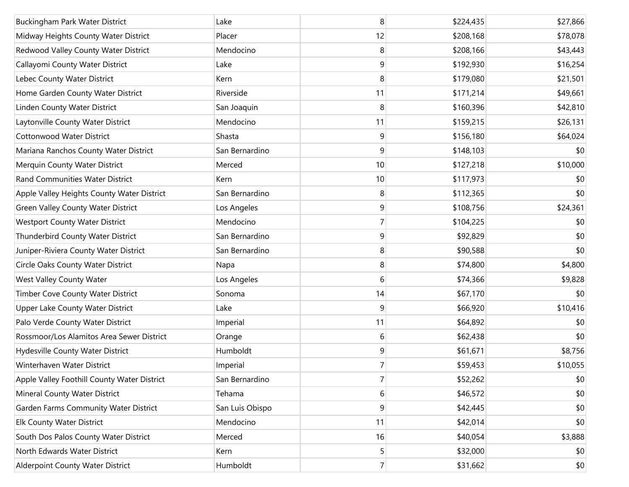| Buckingham Park Water District              | Lake            | 8              | \$224,435 | \$27,866 |
|---------------------------------------------|-----------------|----------------|-----------|----------|
| Midway Heights County Water District        | Placer          | 12             | \$208,168 | \$78,078 |
| Redwood Valley County Water District        | Mendocino       | 8              | \$208,166 | \$43,443 |
| Callayomi County Water District             | Lake            | 9              | \$192,930 | \$16,254 |
| Lebec County Water District                 | Kern            | 8              | \$179,080 | \$21,501 |
| Home Garden County Water District           | Riverside       | 11             | \$171,214 | \$49,661 |
| Linden County Water District                | San Joaquin     | 8              | \$160,396 | \$42,810 |
| Laytonville County Water District           | Mendocino       | 11             | \$159,215 | \$26,131 |
| <b>Cottonwood Water District</b>            | Shasta          | 9              | \$156,180 | \$64,024 |
| Mariana Ranchos County Water District       | San Bernardino  | 9              | \$148,103 | \$0      |
| Merquin County Water District               | Merced          | 10             | \$127,218 | \$10,000 |
| Rand Communities Water District             | Kern            | 10             | \$117,973 | \$0      |
| Apple Valley Heights County Water District  | San Bernardino  | 8              | \$112,365 | \$0      |
| <b>Green Valley County Water District</b>   | Los Angeles     | 9              | \$108,756 | \$24,361 |
| <b>Westport County Water District</b>       | Mendocino       | $\overline{7}$ | \$104,225 | \$0      |
| Thunderbird County Water District           | San Bernardino  | 9              | \$92,829  | \$0      |
| Juniper-Riviera County Water District       | San Bernardino  | 8              | \$90,588  | \$0      |
| Circle Oaks County Water District           | Napa            | 8              | \$74,800  | \$4,800  |
| West Valley County Water                    | Los Angeles     | 6              | \$74,366  | \$9,828  |
| Timber Cove County Water District           | Sonoma          | 14             | \$67,170  | \$0      |
| Upper Lake County Water District            | Lake            | 9              | \$66,920  | \$10,416 |
| Palo Verde County Water District            | Imperial        | 11             | \$64,892  | \$0      |
| Rossmoor/Los Alamitos Area Sewer District   | Orange          | 6              | \$62,438  | \$0      |
| Hydesville County Water District            | Humboldt        | 9              | \$61,671  | \$8,756  |
| Winterhaven Water District                  | Imperial        | $\overline{7}$ | \$59,453  | \$10,055 |
| Apple Valley Foothill County Water District | San Bernardino  | $\overline{7}$ | \$52,262  | \$0      |
| Mineral County Water District               | Tehama          | 6              | \$46,572  | \$0      |
| Garden Farms Community Water District       | San Luis Obispo | 9              | \$42,445  | \$0      |
| <b>Elk County Water District</b>            | Mendocino       | 11             | \$42,014  | \$0      |
| South Dos Palos County Water District       | Merced          | 16             | \$40,054  | \$3,888  |
| North Edwards Water District                | Kern            | 5              | \$32,000  | \$0      |
| Alderpoint County Water District            | Humboldt        | $7\vert$       | \$31,662  | \$0      |